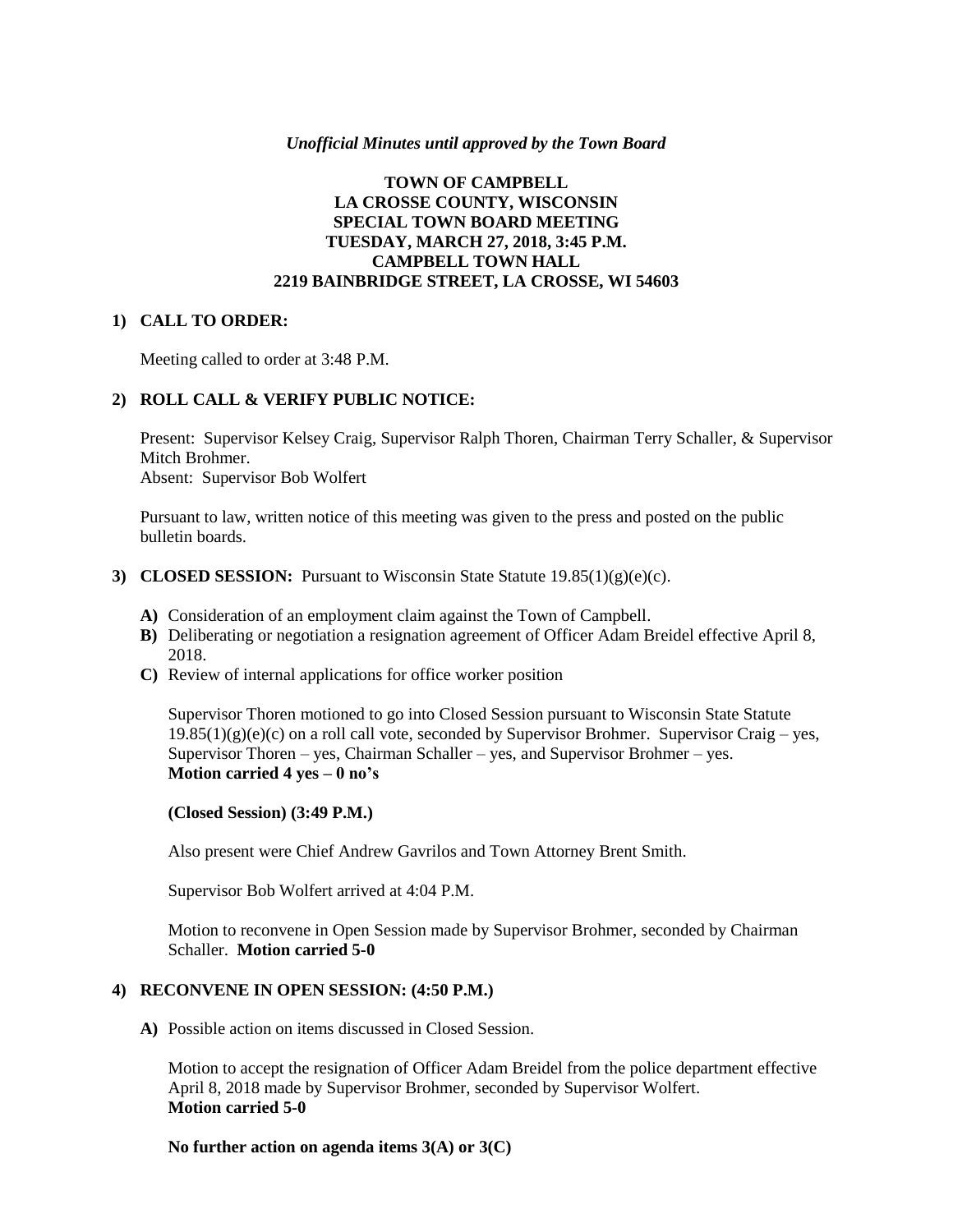#### *Unofficial Minutes until approved by the Town Board*

## **TOWN OF CAMPBELL LA CROSSE COUNTY, WISCONSIN SPECIAL TOWN BOARD MEETING TUESDAY, MARCH 27, 2018, 3:45 P.M. CAMPBELL TOWN HALL 2219 BAINBRIDGE STREET, LA CROSSE, WI 54603**

#### **1) CALL TO ORDER:**

Meeting called to order at 3:48 P.M.

## **2) ROLL CALL & VERIFY PUBLIC NOTICE:**

Present: Supervisor Kelsey Craig, Supervisor Ralph Thoren, Chairman Terry Schaller, & Supervisor Mitch Brohmer. Absent: Supervisor Bob Wolfert

Pursuant to law, written notice of this meeting was given to the press and posted on the public bulletin boards.

- **3) CLOSED SESSION:** Pursuant to Wisconsin State Statute 19.85(1)(g)(e)(c).
	- **A)** Consideration of an employment claim against the Town of Campbell.
	- **B)** Deliberating or negotiation a resignation agreement of Officer Adam Breidel effective April 8, 2018.
	- **C)** Review of internal applications for office worker position

Supervisor Thoren motioned to go into Closed Session pursuant to Wisconsin State Statute  $19.85(1)(g)(e)(c)$  on a roll call vote, seconded by Supervisor Brohmer. Supervisor Craig – yes, Supervisor Thoren – yes, Chairman Schaller – yes, and Supervisor Brohmer – yes. **Motion carried 4 yes – 0 no's**

#### **(Closed Session) (3:49 P.M.)**

Also present were Chief Andrew Gavrilos and Town Attorney Brent Smith.

Supervisor Bob Wolfert arrived at 4:04 P.M.

Motion to reconvene in Open Session made by Supervisor Brohmer, seconded by Chairman Schaller. **Motion carried 5-0**

## **4) RECONVENE IN OPEN SESSION: (4:50 P.M.)**

**A)** Possible action on items discussed in Closed Session.

Motion to accept the resignation of Officer Adam Breidel from the police department effective April 8, 2018 made by Supervisor Brohmer, seconded by Supervisor Wolfert. **Motion carried 5-0**

**No further action on agenda items 3(A) or 3(C)**